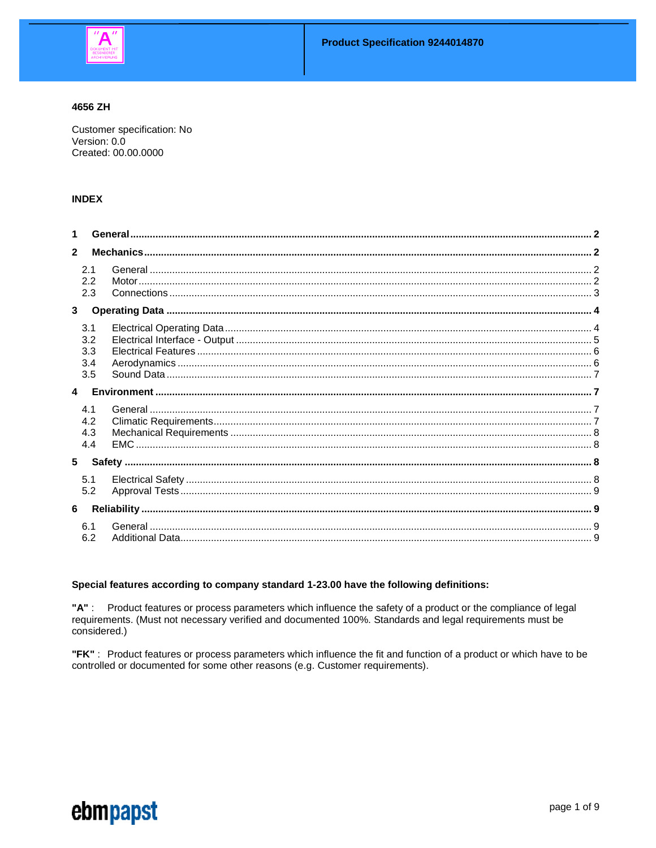

### 4656 ZH

Customer specification: No Version: 0.0 Created: 00.00.0000

### **INDEX**

| 1            |                                 |  |
|--------------|---------------------------------|--|
| $\mathbf{2}$ |                                 |  |
|              | 2.1<br>2.2<br>2.3               |  |
| 3            |                                 |  |
|              | 3.1<br>3.2<br>3.3<br>3.4<br>3.5 |  |
|              |                                 |  |
|              | 4.1<br>4.2<br>4.3<br>4.4        |  |
| 5            |                                 |  |
|              | 5.1<br>5.2                      |  |
| 6            |                                 |  |
|              | 6.1<br>6.2                      |  |

#### Special features according to company standard 1-23.00 have the following definitions:

"A": Product features or process parameters which influence the safety of a product or the compliance of legal requirements. (Must not necessary verified and documented 100%. Standards and legal requirements must be considered.)

"FK": Product features or process parameters which influence the fit and function of a product or which have to be controlled or documented for some other reasons (e.g. Customer requirements).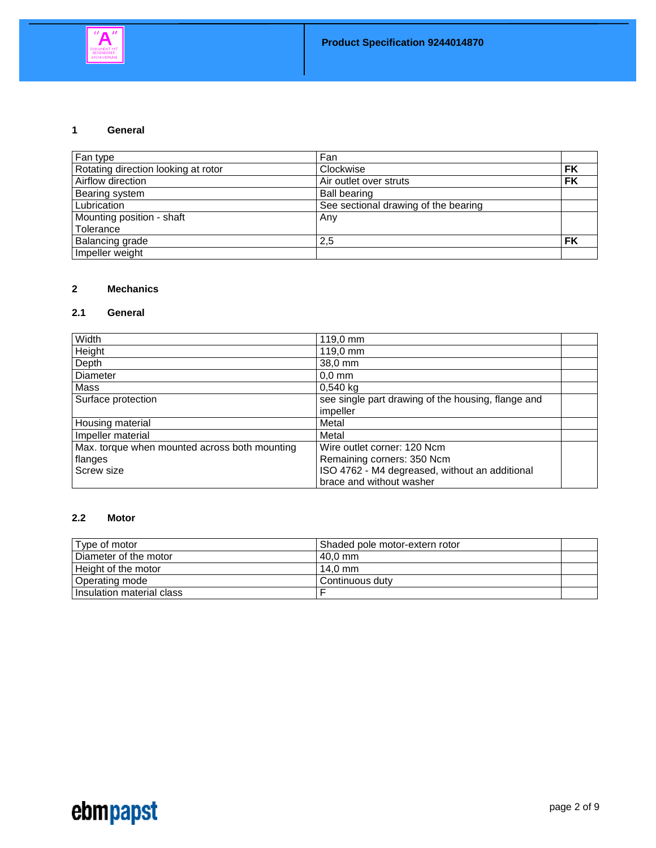

#### **1 General**

| Fan type                            | Fan                                  |           |
|-------------------------------------|--------------------------------------|-----------|
| Rotating direction looking at rotor | Clockwise                            | FK        |
| Airflow direction                   | Air outlet over struts               | <b>FK</b> |
| Bearing system                      | <b>Ball bearing</b>                  |           |
| Lubrication                         | See sectional drawing of the bearing |           |
| Mounting position - shaft           | Any                                  |           |
| Tolerance                           |                                      |           |
| Balancing grade                     | 2,5                                  | FK        |
| Impeller weight                     |                                      |           |

## **2 Mechanics**

## **2.1 General**

| Width                                         | 119,0 mm                                           |  |
|-----------------------------------------------|----------------------------------------------------|--|
| Height                                        | 119,0 mm                                           |  |
| Depth                                         | 38,0 mm                                            |  |
| <b>Diameter</b>                               | $0.0$ mm                                           |  |
| Mass                                          | $0,540$ kg                                         |  |
| Surface protection                            | see single part drawing of the housing, flange and |  |
|                                               | impeller                                           |  |
| Housing material                              | Metal                                              |  |
| Impeller material                             | Metal                                              |  |
| Max. torque when mounted across both mounting | Wire outlet corner: 120 Ncm                        |  |
| flanges                                       | Remaining corners: 350 Ncm                         |  |
| Screw size                                    | ISO 4762 - M4 degreased, without an additional     |  |
|                                               | brace and without washer                           |  |

#### **2.2 Motor**

| Type of motor             | Shaded pole motor-extern rotor |  |
|---------------------------|--------------------------------|--|
| Diameter of the motor     | 40.0 mm                        |  |
| Height of the motor       | $14.0 \text{ mm}$              |  |
| Operating mode            | Continuous duty                |  |
| Insulation material class |                                |  |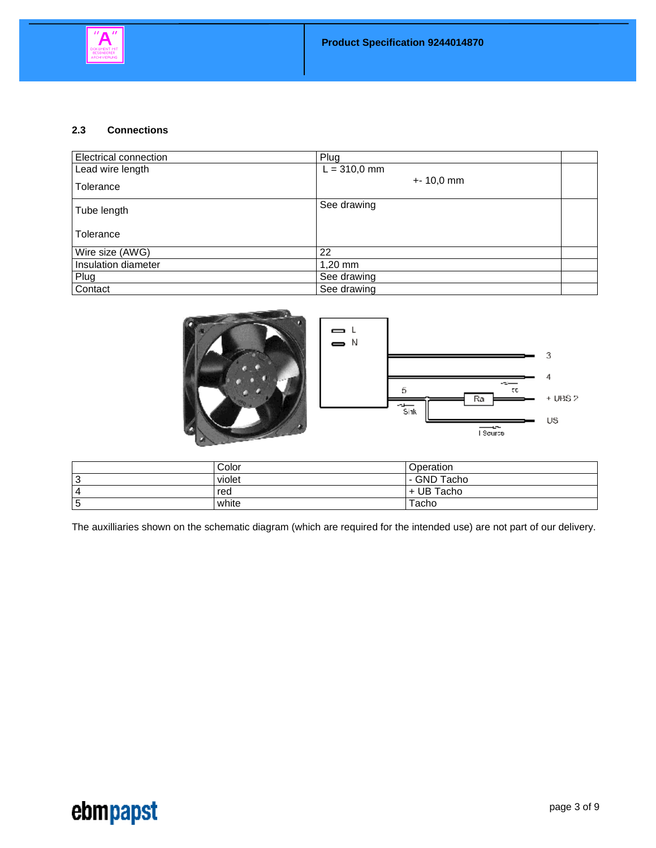

### **2.3 Connections**

| Electrical connection | Plug           |  |
|-----------------------|----------------|--|
| Lead wire length      | $L = 310,0$ mm |  |
| Tolerance             | $+ - 10.0$ mm  |  |
| Tube length           | See drawing    |  |
| Tolerance             |                |  |
| Wire size (AWG)       | 22             |  |
| Insulation diameter   | $1,20$ mm      |  |
| Plug                  | See drawing    |  |
| Contact               | See drawing    |  |



| Color  | Operation   |
|--------|-------------|
| violet | - GND Tacho |
| red    | + UB Tacho  |
| white  | Tacho       |

The auxilliaries shown on the schematic diagram (which are required for the intended use) are not part of our delivery.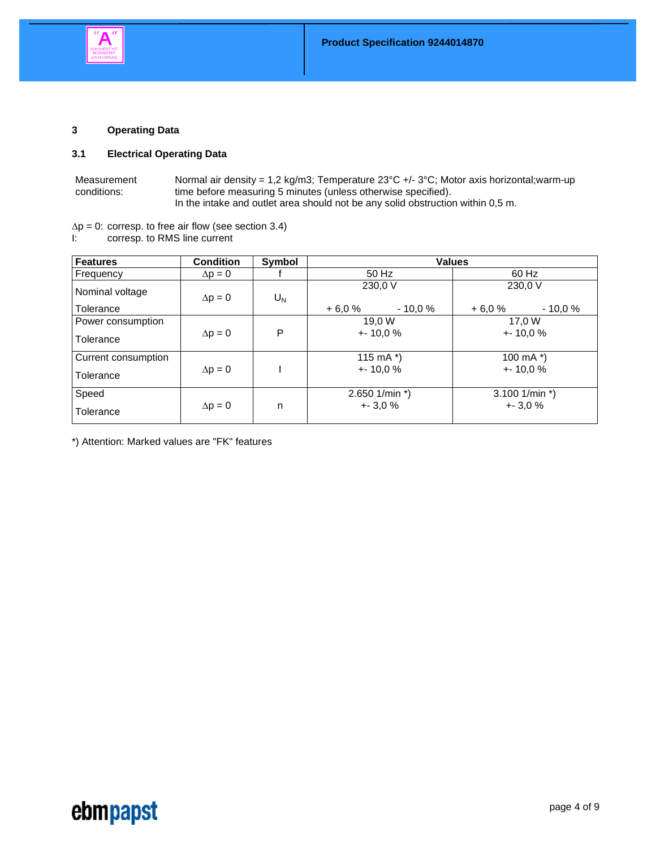

## **3 Operating Data**

## **3.1 Electrical Operating Data**

Measurement conditions: Normal air density = 1,2 kg/m3; Temperature  $23^{\circ}$ C +/-  $3^{\circ}$ C; Motor axis horizontal;warm-up time before measuring 5 minutes (unless otherwise specified). In the intake and outlet area should not be any solid obstruction within 0,5 m.

 $\Delta p = 0$ : corresp. to free air flow (see section 3.4)

I: corresp. to RMS line current

| <b>Features</b>     | <b>Condition</b>        | Symbol |                | <b>Values</b> |                   |          |
|---------------------|-------------------------|--------|----------------|---------------|-------------------|----------|
| Frequency           | $\Delta p = 0$          |        | 50 Hz          |               | 60 Hz             |          |
| Nominal voltage     | $U_N$<br>$\Delta p = 0$ |        | 230,0 V        |               | 230,0 V           |          |
| Tolerance           |                         |        | $+6.0%$        | $-10.0%$      | $+6.0%$           | $-10,0%$ |
| Power consumption   |                         |        | 19,0 W         |               | 17,0 W            |          |
| Tolerance           | $\Delta p = 0$          | P      | $+ 10,0%$      |               | $+ - 10,0%$       |          |
| Current consumption |                         |        | 115 mA $*$ )   |               | 100 mA $*$ )      |          |
| Tolerance           | $\Delta p = 0$          |        | $+ 10.0 %$     |               | $+ 10.0 %$        |          |
| Speed               |                         |        | 2.650 1/min *) |               | 3.100 $1/min *$ ) |          |
| Tolerance           | $\Delta p = 0$          | n      | $+3.0%$        |               | $+3,0%$           |          |

\*) Attention: Marked values are "FK" features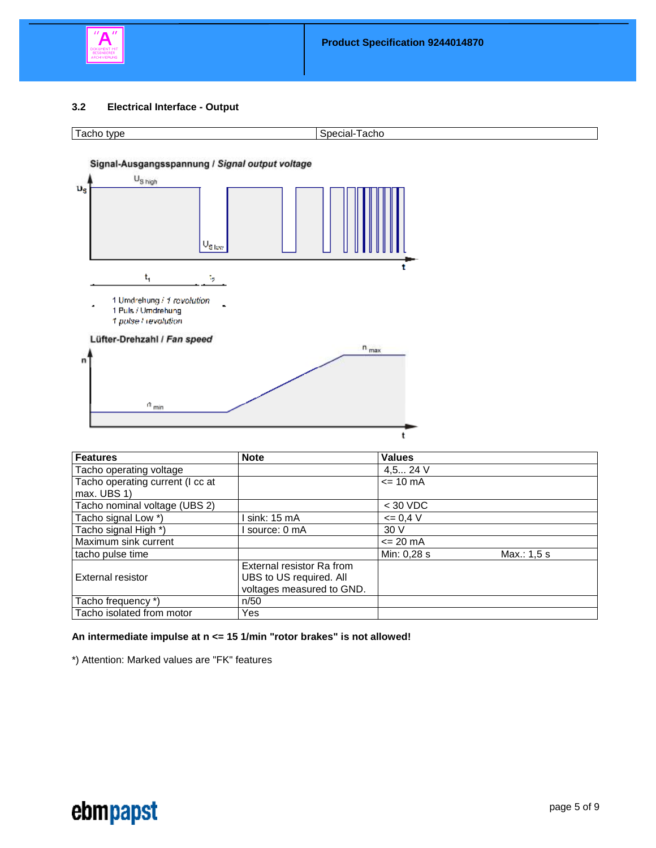

#### **3.2 Electrical Interface - Output**



| <b>I dulle operating current (I GG dt</b> |                                                                                   | $\leq$ $=$ $\leq$ $\leq$ $\leq$ $\leq$ |             |
|-------------------------------------------|-----------------------------------------------------------------------------------|----------------------------------------|-------------|
| max. UBS 1                                |                                                                                   |                                        |             |
| Tacho nominal voltage (UBS 2)             |                                                                                   | $<$ 30 VDC                             |             |
| Tacho signal Low *)                       | sink: 15 mA                                                                       | $\leq$ 0.4 V                           |             |
| Tacho signal High *)                      | source: 0 mA                                                                      | 30V                                    |             |
| Maximum sink current                      |                                                                                   | $= 20 \text{ mA}$                      |             |
| tacho pulse time                          |                                                                                   | Min: 0,28 s                            | Max.: 1,5 s |
| External resistor                         | External resistor Ra from<br>UBS to US required. All<br>voltages measured to GND. |                                        |             |
| Tacho frequency *)                        | n/50                                                                              |                                        |             |
| Tacho isolated from motor                 | Yes                                                                               |                                        |             |

#### **An intermediate impulse at n <= 15 1/min "rotor brakes" is not allowed!**

\*) Attention: Marked values are "FK" features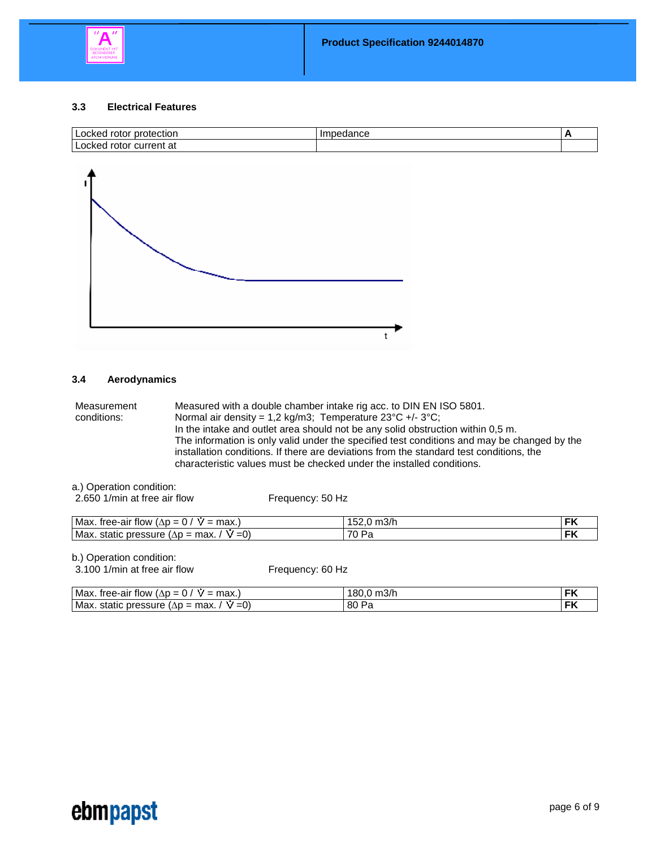

#### **3.3 Electrical Features**



#### **3.4 Aerodynamics**

Measurement conditions: Measured with a double chamber intake rig acc. to DIN EN ISO 5801. Normal air density = 1,2 kg/m3; Temperature  $23^{\circ}$ C +/-  $3^{\circ}$ C; In the intake and outlet area should not be any solid obstruction within 0,5 m. The information is only valid under the specified test conditions and may be changed by the installation conditions. If there are deviations from the standard test conditions, the characteristic values must be checked under the installed conditions.

a.) Operation condition:

2.650 1/min at free air flow Frequency: 50 Hz

| Max.<br>max<br>free-air flow $(\Delta p =$<br>$\overline{\phantom{0}}$<br>U<br>- | つル<br>шәл<br>ు∠ | --    |
|----------------------------------------------------------------------------------|-----------------|-------|
| $\sim$<br>Max.<br>max.<br>pressure<br>static<br>$\Delta D =$<br>=U)              | De<br>a<br>v    | $-14$ |

b.) Operation condition:

3.100 1/min at free air flow Frequency: 60 Hz

| Max.<br>max.<br>$\Delta D =$<br>tree-air<br>∵tlow<br>-<br>U<br>-     | 2/h<br>രറ<br>ou<br>шэлі | . E LA       |
|----------------------------------------------------------------------|-------------------------|--------------|
| Max.<br>$\bigcap$<br>max.<br>static pressure<br>$(\Delta D =$<br>=U) | on<br>ου<br>a           | $-10$<br>. . |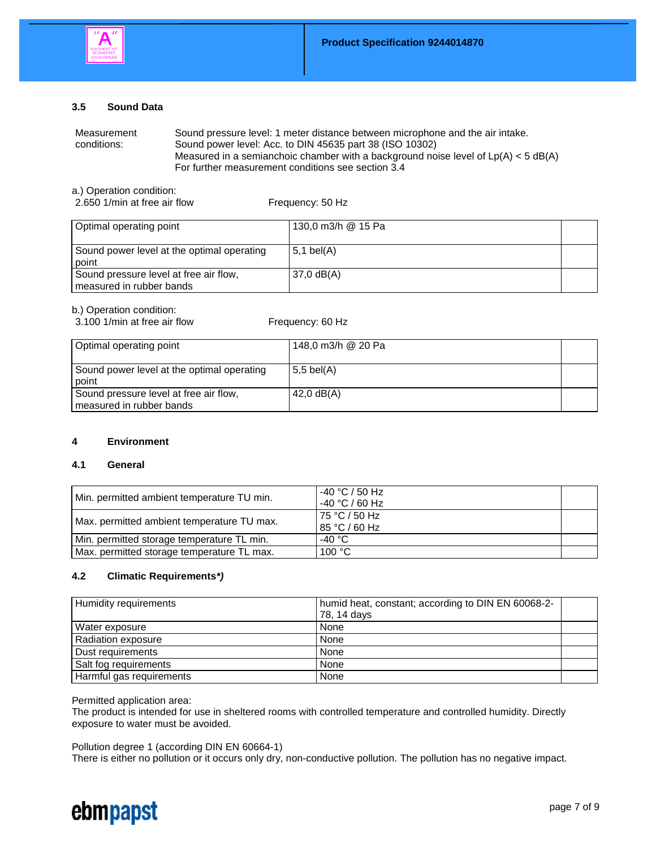

#### **3.5 Sound Data**

Measurement conditions: Sound pressure level: 1 meter distance between microphone and the air intake. Sound power level: Acc. to DIN 45635 part 38 (ISO 10302) Measured in a semianchoic chamber with a background noise level of Lp(A) < 5 dB(A) For further measurement conditions see section 3.4

a.) Operation condition:

2.650 1/min at free air flow Frequency: 50 Hz

| Optimal operating point                                            | 130,0 m3/h @ 15 Pa     |  |
|--------------------------------------------------------------------|------------------------|--|
| Sound power level at the optimal operating<br>point                | $ 5.1 \text{ bel(A)} $ |  |
| Sound pressure level at free air flow,<br>measured in rubber bands | $37,0$ dB(A)           |  |

#### b.) Operation condition:

|  |  | 3.100 1/min at free air flow |  |
|--|--|------------------------------|--|

Frequency: 60 Hz

| Optimal operating point                                            | 148,0 m3/h @ 20 Pa |  |
|--------------------------------------------------------------------|--------------------|--|
| Sound power level at the optimal operating<br>point                | $5.5$ bel(A)       |  |
| Sound pressure level at free air flow,<br>measured in rubber bands | 42,0 $dB(A)$       |  |

#### **4 Environment**

#### **4.1 General**

| Min. permitted ambient temperature TU min. | $-40 °C / 50 Hz$<br>$-40 °C / 60 Hz$ |  |
|--------------------------------------------|--------------------------------------|--|
| Max. permitted ambient temperature TU max. | 175 °C / 50 Hz<br>185 °C / 60 Hz     |  |
| Min. permitted storage temperature TL min. | -40 °C                               |  |
| Max. permitted storage temperature TL max. | 100 $\degree$ C                      |  |

### **4.2 Climatic Requirements***\*)*

| Humidity requirements    | humid heat, constant; according to DIN EN 60068-2-<br>78, 14 days |  |
|--------------------------|-------------------------------------------------------------------|--|
| Water exposure           | None                                                              |  |
| Radiation exposure       | None                                                              |  |
| Dust requirements        | None                                                              |  |
| Salt fog requirements    | None                                                              |  |
| Harmful gas requirements | None                                                              |  |

Permitted application area:

The product is intended for use in sheltered rooms with controlled temperature and controlled humidity. Directly exposure to water must be avoided.

Pollution degree 1 (according DIN EN 60664-1)

There is either no pollution or it occurs only dry, non-conductive pollution. The pollution has no negative impact.

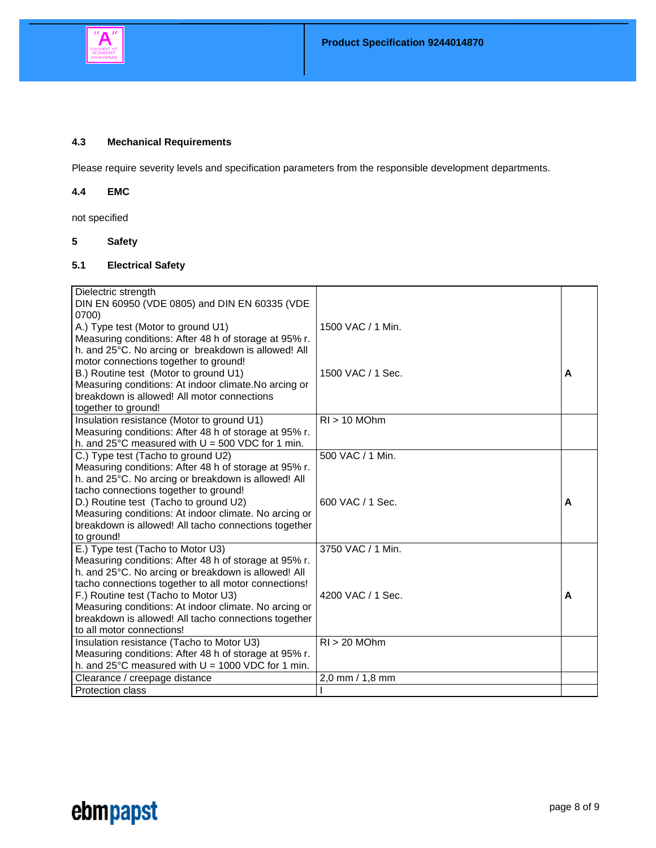

## **4.3 Mechanical Requirements**

Please require severity levels and specification parameters from the responsible development departments.

### **4.4 EMC**

not specified

## **5 Safety**

## **5.1 Electrical Safety**

| Dielectric strength                                                                         |                   |   |
|---------------------------------------------------------------------------------------------|-------------------|---|
| DIN EN 60950 (VDE 0805) and DIN EN 60335 (VDE                                               |                   |   |
| 0700)                                                                                       | 1500 VAC / 1 Min. |   |
| A.) Type test (Motor to ground U1)<br>Measuring conditions: After 48 h of storage at 95% r. |                   |   |
| h. and 25°C. No arcing or breakdown is allowed! All                                         |                   |   |
| motor connections together to ground!                                                       |                   |   |
| B.) Routine test (Motor to ground U1)                                                       | 1500 VAC / 1 Sec. | A |
| Measuring conditions: At indoor climate. No arcing or                                       |                   |   |
| breakdown is allowed! All motor connections                                                 |                   |   |
| together to ground!                                                                         |                   |   |
| Insulation resistance (Motor to ground U1)                                                  | $RI > 10$ MOhm    |   |
| Measuring conditions: After 48 h of storage at 95% r.                                       |                   |   |
| h. and $25^{\circ}$ C measured with $U = 500$ VDC for 1 min.                                |                   |   |
| C.) Type test (Tacho to ground U2)                                                          | 500 VAC / 1 Min.  |   |
| Measuring conditions: After 48 h of storage at 95% r.                                       |                   |   |
| h. and 25°C. No arcing or breakdown is allowed! All                                         |                   |   |
| tacho connections together to ground!                                                       |                   |   |
| D.) Routine test (Tacho to ground U2)                                                       | 600 VAC / 1 Sec.  | A |
| Measuring conditions: At indoor climate. No arcing or                                       |                   |   |
| breakdown is allowed! All tacho connections together                                        |                   |   |
| to ground!<br>E.) Type test (Tacho to Motor U3)                                             | 3750 VAC / 1 Min. |   |
| Measuring conditions: After 48 h of storage at 95% r.                                       |                   |   |
| h. and 25°C. No arcing or breakdown is allowed! All                                         |                   |   |
| tacho connections together to all motor connections!                                        |                   |   |
| F.) Routine test (Tacho to Motor U3)                                                        | 4200 VAC / 1 Sec. | A |
| Measuring conditions: At indoor climate. No arcing or                                       |                   |   |
| breakdown is allowed! All tacho connections together                                        |                   |   |
| to all motor connections!                                                                   |                   |   |
| Insulation resistance (Tacho to Motor U3)                                                   | $RI > 20$ MOhm    |   |
| Measuring conditions: After 48 h of storage at 95% r.                                       |                   |   |
| h. and $25^{\circ}$ C measured with U = 1000 VDC for 1 min.                                 |                   |   |
| Clearance / creepage distance                                                               | 2,0 mm / 1,8 mm   |   |
| Protection class                                                                            |                   |   |